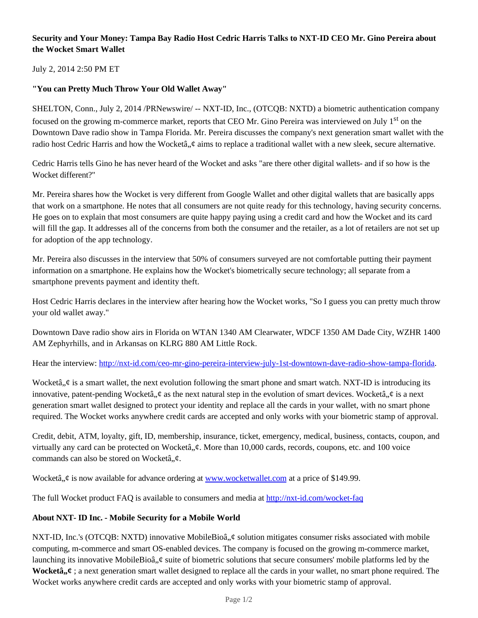# **Security and Your Money: Tampa Bay Radio Host Cedric Harris Talks to NXT-ID CEO Mr. Gino Pereira about the Wocket Smart Wallet**

## July 2, 2014 2:50 PM ET

## **"You can Pretty Much Throw Your Old Wallet Away"**

SHELTON, Conn., July 2, 2014 /PRNewswire/ -- NXT-ID, Inc., (OTCQB: NXTD) a biometric authentication company focused on the growing m-commerce market, reports that CEO Mr. Gino Pereira was interviewed on July 1<sup>st</sup> on the Downtown Dave radio show in Tampa Florida. Mr. Pereira discusses the company's next generation smart wallet with the radio host Cedric Harris and how the Wocketâ,  $\phi$  aims to replace a traditional wallet with a new sleek, secure alternative.

Cedric Harris tells Gino he has never heard of the Wocket and asks "are there other digital wallets- and if so how is the Wocket different?"

Mr. Pereira shares how the Wocket is very different from Google Wallet and other digital wallets that are basically apps that work on a smartphone. He notes that all consumers are not quite ready for this technology, having security concerns. He goes on to explain that most consumers are quite happy paying using a credit card and how the Wocket and its card will fill the gap. It addresses all of the concerns from both the consumer and the retailer, as a lot of retailers are not set up for adoption of the app technology.

Mr. Pereira also discusses in the interview that 50% of consumers surveyed are not comfortable putting their payment information on a smartphone. He explains how the Wocket's biometrically secure technology; all separate from a smartphone prevents payment and identity theft.

Host Cedric Harris declares in the interview after hearing how the Wocket works, "So I guess you can pretty much throw your old wallet away."

Downtown Dave radio show airs in Florida on WTAN 1340 AM Clearwater, WDCF 1350 AM Dade City, WZHR 1400 AM Zephyrhills, and in Arkansas on KLRG 880 AM Little Rock.

Hear the interview: http://nxt-id.com/ceo-mr-gino-pereira-interview-july-1st-downtown-dave-radio-show-tampa-florida.

Wocketâ,  $\phi$  is a smart wallet, the next evolution following the smart phone and smart watch. NXT-ID is introducing its innovative, patent-pending Wocketâ,  $\phi$  as the next natural step in the evolution of smart devices. Wocketâ,  $\phi$  is a next generation smart wallet designed to protect your identity and replace all the cards in your wallet, with no smart phone required. The Wocket works anywhere credit cards are accepted and only works with your biometric stamp of approval.

Credit, debit, ATM, loyalty, gift, ID, membership, insurance, ticket, emergency, medical, business, contacts, coupon, and virtually any card can be protected on Wocketâ,  $\phi$ . More than 10,000 cards, records, coupons, etc. and 100 voice commands can also be stored on Wocketâ, $\phi$ .

Wocketâ,  $\phi$  is now available for advance ordering at www.wocketwallet.com at a price of \$149.99.

The full Wocket product FAQ is available to consumers and media at http://nxt-id.com/wocket-faq

#### **About NXT- ID Inc. - Mobile Security for a Mobile World**

NXT-ID, Inc.'s (OTCQB: NXTD) innovative MobileBioâ,  $\phi$  solution mitigates consumer risks associated with mobile computing, m-commerce and smart OS-enabled devices. The company is focused on the growing m-commerce market, launching its innovative MobileBioâ,  $\phi$  suite of biometric solutions that secure consumers' mobile platforms led by the **Wocketâ**,  $\ell$ ; a next generation smart wallet designed to replace all the cards in your wallet, no smart phone required. The Wocket works anywhere credit cards are accepted and only works with your biometric stamp of approval.